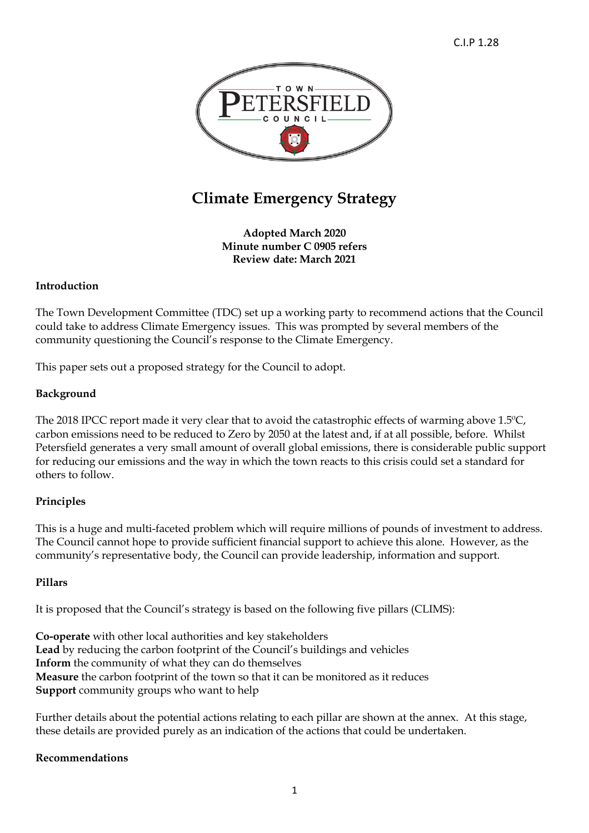

# **Climate Emergency Strategy**

**Adopted March 2020 Minute number C 0905 refers Review date: March 2021**

## **Introduction**

The Town Development Committee (TDC) set up a working party to recommend actions that the Council could take to address Climate Emergency issues. This was prompted by several members of the community questioning the Council's response to the Climate Emergency.

This paper sets out a proposed strategy for the Council to adopt.

### **Background**

The 2018 IPCC report made it very clear that to avoid the catastrophic effects of warming above 1.5ºC, carbon emissions need to be reduced to Zero by 2050 at the latest and, if at all possible, before. Whilst Petersfield generates a very small amount of overall global emissions, there is considerable public support for reducing our emissions and the way in which the town reacts to this crisis could set a standard for others to follow.

# **Principles**

This is a huge and multi-faceted problem which will require millions of pounds of investment to address. The Council cannot hope to provide sufficient financial support to achieve this alone. However, as the community's representative body, the Council can provide leadership, information and support.

### **Pillars**

It is proposed that the Council's strategy is based on the following five pillars (CLIMS):

**Co-operate** with other local authorities and key stakeholders **Lead** by reducing the carbon footprint of the Council's buildings and vehicles **Inform** the community of what they can do themselves **Measure** the carbon footprint of the town so that it can be monitored as it reduces **Support** community groups who want to help

Further details about the potential actions relating to each pillar are shown at the annex. At this stage, these details are provided purely as an indication of the actions that could be undertaken.

### **Recommendations**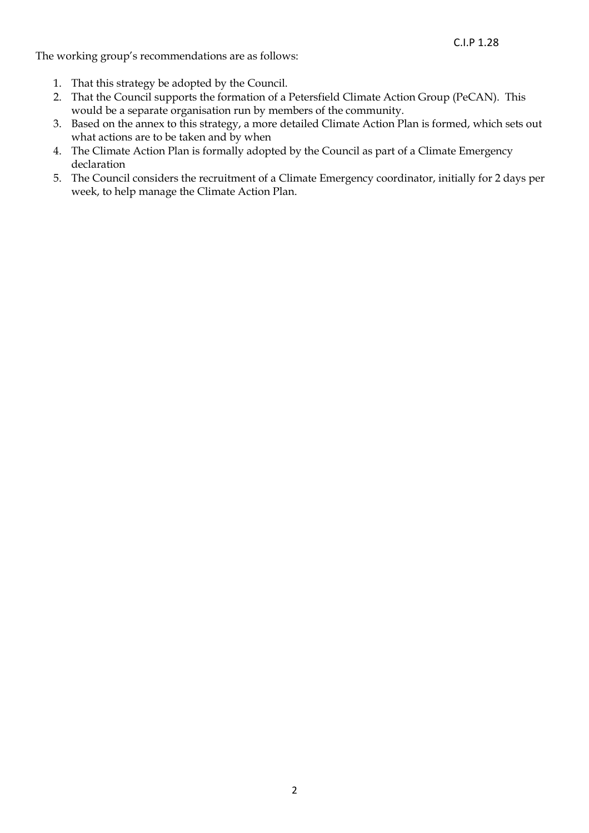The working group's recommendations are as follows:

- 1. That this strategy be adopted by the Council.
- 2. That the Council supports the formation of a Petersfield Climate Action Group (PeCAN). This would be a separate organisation run by members of the community.
- 3. Based on the annex to this strategy, a more detailed Climate Action Plan is formed, which sets out what actions are to be taken and by when
- 4. The Climate Action Plan is formally adopted by the Council as part of a Climate Emergency declaration
- 5. The Council considers the recruitment of a Climate Emergency coordinator, initially for 2 days per week, to help manage the Climate Action Plan.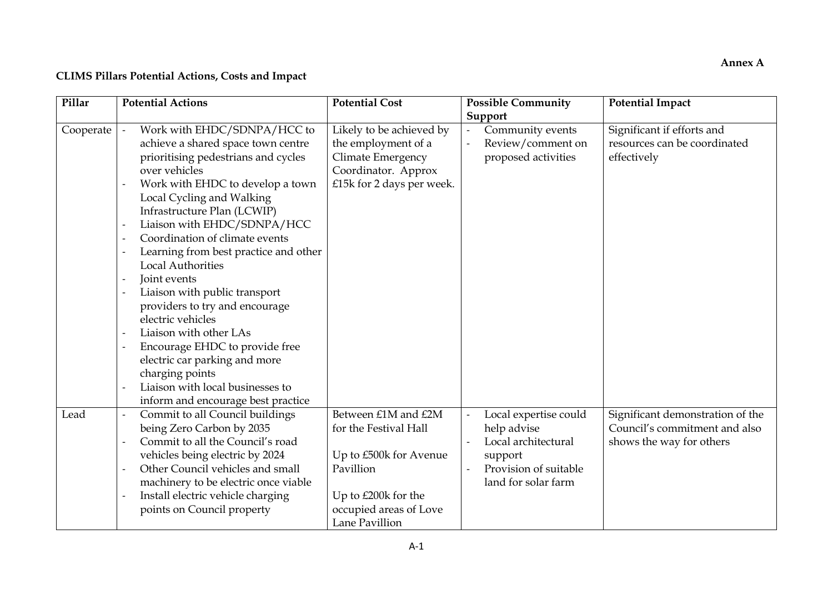# **CLIMS Pillars Potential Actions, Costs and Impact**

| Pillar    | <b>Potential Actions</b> |                                       | <b>Potential Cost</b>     | <b>Possible Community</b> | <b>Potential Impact</b>          |
|-----------|--------------------------|---------------------------------------|---------------------------|---------------------------|----------------------------------|
|           |                          |                                       |                           | Support                   |                                  |
| Cooperate |                          | Work with EHDC/SDNPA/HCC to           | Likely to be achieved by  | Community events          | Significant if efforts and       |
|           |                          | achieve a shared space town centre    | the employment of a       | Review/comment on         | resources can be coordinated     |
|           |                          | prioritising pedestrians and cycles   | Climate Emergency         | proposed activities       | effectively                      |
|           |                          | over vehicles                         | Coordinator. Approx       |                           |                                  |
|           |                          | Work with EHDC to develop a town      | £15k for 2 days per week. |                           |                                  |
|           |                          | Local Cycling and Walking             |                           |                           |                                  |
|           |                          | Infrastructure Plan (LCWIP)           |                           |                           |                                  |
|           |                          | Liaison with EHDC/SDNPA/HCC           |                           |                           |                                  |
|           |                          | Coordination of climate events        |                           |                           |                                  |
|           |                          | Learning from best practice and other |                           |                           |                                  |
|           |                          | <b>Local Authorities</b>              |                           |                           |                                  |
|           | Joint events             |                                       |                           |                           |                                  |
|           |                          | Liaison with public transport         |                           |                           |                                  |
|           |                          | providers to try and encourage        |                           |                           |                                  |
|           |                          | electric vehicles                     |                           |                           |                                  |
|           |                          | Liaison with other LAs                |                           |                           |                                  |
|           |                          | Encourage EHDC to provide free        |                           |                           |                                  |
|           |                          | electric car parking and more         |                           |                           |                                  |
|           |                          | charging points                       |                           |                           |                                  |
|           |                          | Liaison with local businesses to      |                           |                           |                                  |
|           |                          | inform and encourage best practice    |                           |                           |                                  |
| Lead      |                          | Commit to all Council buildings       | Between £1M and £2M       | Local expertise could     | Significant demonstration of the |
|           |                          | being Zero Carbon by 2035             | for the Festival Hall     | help advise               | Council's commitment and also    |
|           |                          | Commit to all the Council's road      |                           | Local architectural       | shows the way for others         |
|           |                          | vehicles being electric by 2024       | Up to £500k for Avenue    | support                   |                                  |
|           |                          | Other Council vehicles and small      | Pavillion                 | Provision of suitable     |                                  |
|           |                          | machinery to be electric once viable  |                           | land for solar farm       |                                  |
|           |                          | Install electric vehicle charging     | Up to £200k for the       |                           |                                  |
|           |                          | points on Council property            | occupied areas of Love    |                           |                                  |
|           |                          |                                       | Lane Pavillion            |                           |                                  |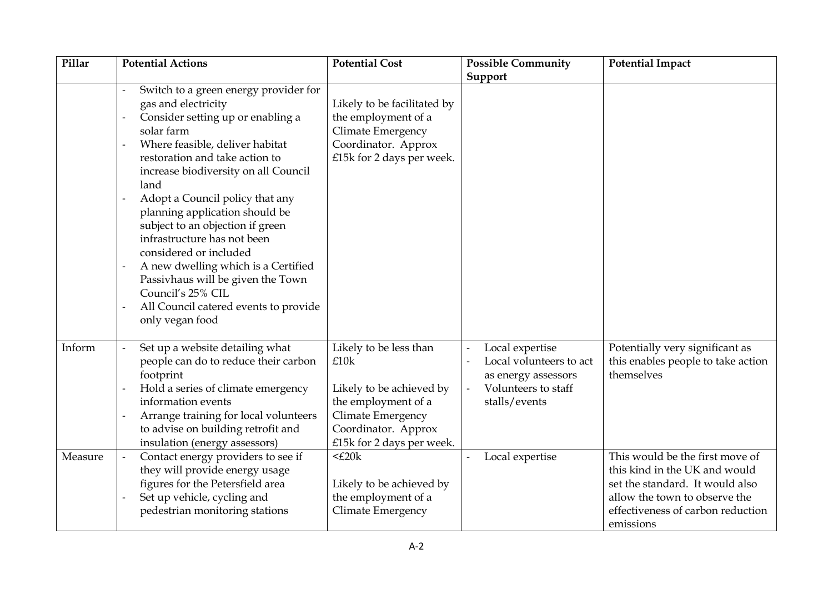| Pillar  | <b>Potential Actions</b>                                                                                                                                                                                                                                                                                                                                                                                                                                                                                                                                                              | <b>Potential Cost</b>                                                                                                                                      | <b>Possible Community</b>                                                                                 | <b>Potential Impact</b>                                                                                                                                                                |
|---------|---------------------------------------------------------------------------------------------------------------------------------------------------------------------------------------------------------------------------------------------------------------------------------------------------------------------------------------------------------------------------------------------------------------------------------------------------------------------------------------------------------------------------------------------------------------------------------------|------------------------------------------------------------------------------------------------------------------------------------------------------------|-----------------------------------------------------------------------------------------------------------|----------------------------------------------------------------------------------------------------------------------------------------------------------------------------------------|
|         |                                                                                                                                                                                                                                                                                                                                                                                                                                                                                                                                                                                       |                                                                                                                                                            | Support                                                                                                   |                                                                                                                                                                                        |
|         | Switch to a green energy provider for<br>gas and electricity<br>Consider setting up or enabling a<br>solar farm<br>Where feasible, deliver habitat<br>$\overline{a}$<br>restoration and take action to<br>increase biodiversity on all Council<br>land<br>Adopt a Council policy that any<br>planning application should be<br>subject to an objection if green<br>infrastructure has not been<br>considered or included<br>A new dwelling which is a Certified<br>Passivhaus will be given the Town<br>Council's 25% CIL<br>All Council catered events to provide<br>only vegan food | Likely to be facilitated by<br>the employment of a<br>Climate Emergency<br>Coordinator. Approx<br>£15k for 2 days per week.                                |                                                                                                           |                                                                                                                                                                                        |
| Inform  | Set up a website detailing what<br>people can do to reduce their carbon<br>footprint<br>Hold a series of climate emergency<br>information events<br>Arrange training for local volunteers<br>to advise on building retrofit and<br>insulation (energy assessors)                                                                                                                                                                                                                                                                                                                      | Likely to be less than<br>£10k<br>Likely to be achieved by<br>the employment of a<br>Climate Emergency<br>Coordinator. Approx<br>£15k for 2 days per week. | Local expertise<br>Local volunteers to act<br>as energy assessors<br>Volunteers to staff<br>stalls/events | Potentially very significant as<br>this enables people to take action<br>themselves                                                                                                    |
| Measure | Contact energy providers to see if<br>they will provide energy usage<br>figures for the Petersfield area<br>Set up vehicle, cycling and<br>pedestrian monitoring stations                                                                                                                                                                                                                                                                                                                                                                                                             | $<$ £20 $k$<br>Likely to be achieved by<br>the employment of a<br>Climate Emergency                                                                        | Local expertise                                                                                           | This would be the first move of<br>this kind in the UK and would<br>set the standard. It would also<br>allow the town to observe the<br>effectiveness of carbon reduction<br>emissions |